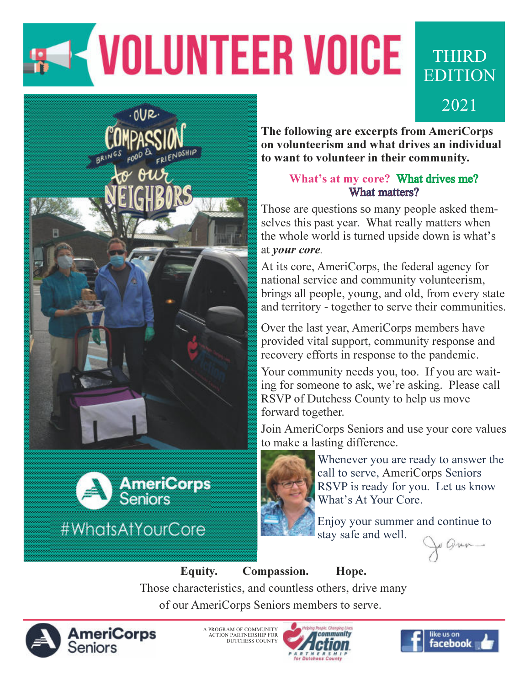# **KVOLUNTEER VOICE**





The following are excerpts from AmeriCorps on volunteerism and what drives an individual to want to volunteer in their community.

**THIRD** 

EDITION

2021

#### What's at my core? What drives me? What matters?

Those are questions so many people asked themselves this past year. What really matters when the whole world is turned upside down is what's at your core.

At its core, AmeriCorps, the federal agency for national service and community volunteerism, brings all people, young, and old, from every state and territory - together to serve their communities.

Over the last year, AmeriCorps members have provided vital support, community response and recovery efforts in response to the pandemic.

Your community needs you, too. If you are waiting for someone to ask, we're asking. Please call RSVP of Dutchess County to help us move forward together.

Join AmeriCorps Seniors and use your core values to make a lasting difference.



Whenever you are ready to answer the call to serve, AmeriCorps Seniors RSVP is ready for you. Let us know What's At Your Core.

Enjoy your summer and continue to stay safe and well.

Equity. Compassion. Hope. Those characteristics, and countless others, drive many of our AmeriCorps Seniors members to serve.



A PROGRAM OF COMMUNITY ACTION PARTNERSHIP FOR DUTCHESS COUNTY



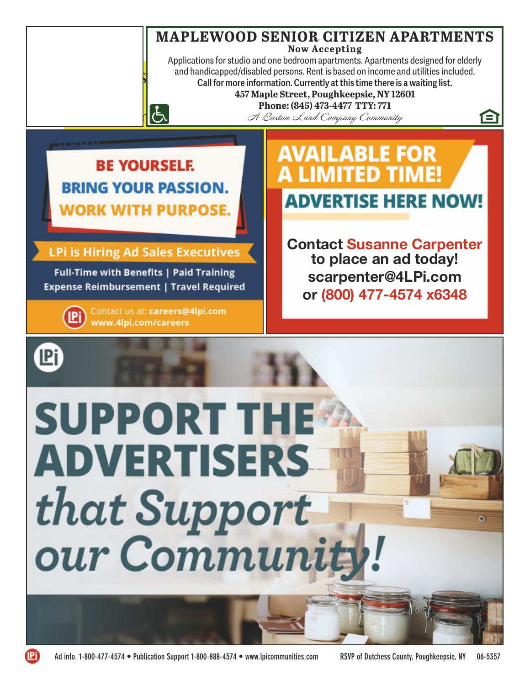#### **MAPLEWOOD SENIOR CITIZEN APARTMENTS Now Accepting**

Applications for studio and one bedroom apartments. Apartments designed for elderly and handicapped/disabled persons. Rent is based on income and utilities included. Call for more information. Currently at this time there is a waiting list.

**457 Maple Street, Poughkeepsie, NY 12601**

457 Maple Street, Poughkeepsie, NY 12601<br>Phone: (845) 473-4477 TTY: 771

A Boston Land Company Community

*RE VOLIDSELE* **PINIC VOLID BACCIONE WORK WITH PURPOSE.** 

 $\lfloor \frac{L}{C} \rfloor$ 

AD PAGES

**LPi is Hiring Ad Sales Executives** 

Full-Time with Benefits | Paid Training **Expense Reimbursement | Travel Required** 

> Contact us at: careers@4lpi.com **i** www.4lpi.com/careers

**AVAILABLE FOR** MITED TIM **ADVERTISE HERE NOW!** 

A

ō

**Contact Susanne Carpenter to place an ad today! scarpenter@4LPi.com or (800) 477-4574 x6348**

**SUPPORT THE ADVERTISERS** that Support our Communit

**IPi**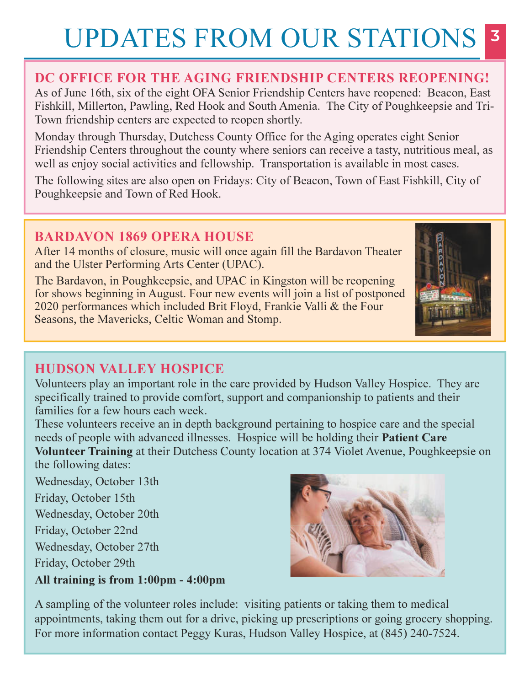## UPDATES FROM OUR STATIONS

#### DC OFFICE FOR THE AGING FRIENDSHIP CENTERS REOPENING!

As of June 16th, six of the eight OFA Senior Friendship Centers have reopened: Beacon, East Fishkill, Millerton, Pawling, Red Hook and South Amenia. The City of Poughkeepsie and Tri- Town friendship centers are expected to reopen shortly.

Monday through Thursday, Dutchess County Office for the Aging operates eight Senior Friendship Centers throughout the county where seniors can receive a tasty, nutritious meal, as well as enjoy social activities and fellowship. Transportation is available in most cases.

The following sites are also open on Fridays: City of Beacon, Town of East Fishkill, City of Poughkeepsie and Town of Red Hook.

#### BARDAVON 1869 OPERA HOUSE

After 14 months of closure, music will once again fill the Bardavon Theater and the Ulster Performing Arts Center (UPAC).

The Bardavon, in Poughkeepsie, and UPAC in Kingston will be reopening for shows beginning in August. Four new events will join a list of postponed 2020 performances which included Brit Floyd, Frankie Valli & the Four Seasons, the Mavericks, Celtic Woman and Stomp.



#### HUDSON VALLEY HOSPICE

Volunteers play an important role in the care provided by Hudson Valley Hospice. They are specifically trained to provide comfort, support and companionship to patients and their families for a few hours each week.

These volunteers receive an in depth background pertaining to hospice care and the special needs of people with advanced illnesses. Hospice will be holding their **Patient Care** Volunteer Training at their Dutchess County location at 374 Violet Avenue, Poughkeepsie on the following dates:

Wednesday, October 13th Friday, October 15th Wednesday, October 20th Friday, October 22nd Wednesday, October 27th Friday, October 29th All training is from 1:00pm - 4:00pm



A sampling of the volunteer roles include: visiting patients or taking them to medical appointments, taking them out for a drive, picking up prescriptions or going grocery shopping. For more information contact Peggy Kuras, Hudson Valley Hospice, at (845) 240-7524.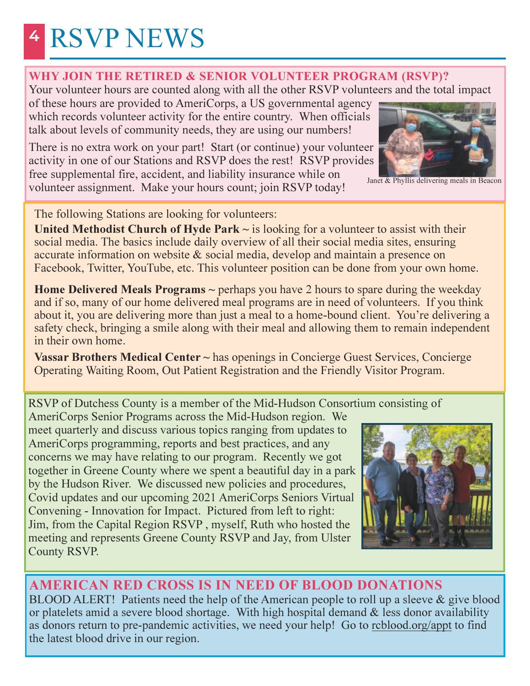## <sup>4</sup> RSVP NEWS

#### WHY JOIN THE RETIRED & SENIOR VOLUNTEER PROGRAM (RSVP)?

Your volunteer hours are counted along with all the other RSVP volunteers and the total impact

of these hours are provided to AmeriCorps, a US governmental agency which records volunteer activity for the entire country. When officials talk about levels of community needs, they are using our numbers!

There is no extra work on your part! Start (or continue) your volunteer activity in one of our Stations and RSVP does the rest! RSVP provides free supplemental fire, accident, and liability insurance while on volunteer assignment. Make your hours count; join RSVP today!



Janet & Phyllis delivering meals in Beacon

The following Stations are looking for volunteers:

United Methodist Church of Hyde Park  $\sim$  is looking for a volunteer to assist with their social media. The basics include daily overview of all their social media sites, ensuring accurate information on website & social media, develop and maintain a presence on Facebook, Twitter, YouTube, etc. This volunteer position can be done from your own home.

**Home Delivered Meals Programs**  $\sim$  perhaps you have 2 hours to spare during the weekday and if so, many of our home delivered meal programs are in need of volunteers. If you think about it, you are delivering more than just a meal to a home-bound client. You're delivering a safety check, bringing a smile along with their meal and allowing them to remain independent in their own home.

Vassar Brothers Medical Center ~ has openings in Concierge Guest Services, Concierge Operating Waiting Room, Out Patient Registration and the Friendly Visitor Program.

RSVP of Dutchess County is a member of the Mid-Hudson Consortium consisting of

AmeriCorps Senior Programs across the Mid-Hudson region. We meet quarterly and discuss various topics ranging from updates to AmeriCorps programming, reports and best practices, and any concerns we may have relating to our program. Recently we got together in Greene County where we spent a beautiful day in a park by the Hudson River. We discussed new policies and procedures, Covid updates and our upcoming 2021 AmeriCorps Seniors Virtual Convening - Innovation for Impact. Pictured from left to right: Jim, from the Capital Region RSVP , myself, Ruth who hosted the meeting and represents Greene County RSVP and Jay, from Ulster County RSVP.



#### AMERICAN RED CROSS IS IN NEED OF BLOOD DONATIONS

BLOOD ALERT! Patients need the help of the American people to roll up a sleeve & give blood or platelets amid a severe blood shortage. With high hospital demand & less donor availability as donors return to pre-pandemic activities, we need your help! Go to rcblood.org/appt to find the latest blood drive in our region.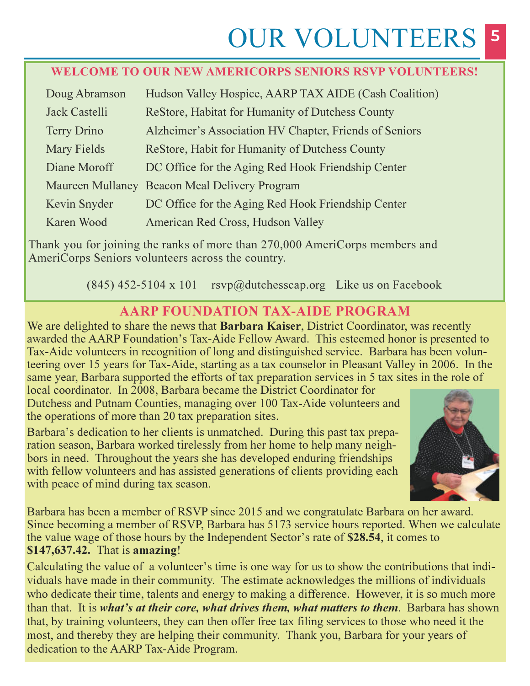## **OUR VOLUNTEERS**

#### WELCOME TO OUR NEW AMERICORPS SENIORS RSVP VOLUNTEERS!

| Doug Abramson      | Hudson Valley Hospice, AARP TAX AIDE (Cash Coalition)  |
|--------------------|--------------------------------------------------------|
| Jack Castelli      | ReStore, Habitat for Humanity of Dutchess County       |
| <b>Terry Drino</b> | Alzheimer's Association HV Chapter, Friends of Seniors |
| <b>Mary Fields</b> | ReStore, Habit for Humanity of Dutchess County         |
| Diane Moroff       | DC Office for the Aging Red Hook Friendship Center     |
|                    | Maureen Mullaney Beacon Meal Delivery Program          |
| Kevin Snyder       | DC Office for the Aging Red Hook Friendship Center     |
| Karen Wood         | American Red Cross, Hudson Valley                      |

Thank you for joining the ranks of more than 270,000 AmeriCorps members and AmeriCorps Seniors volunteers across the country.

(845) 452-5104 x 101 rsvp@dutchesscap.org Like us on Facebook

#### AARP FOUNDATION TAX-AIDE PROGRAM

We are delighted to share the news that **Barbara Kaiser**, District Coordinator, was recently awarded the AARP Foundation's Tax-Aide Fellow Award. This esteemed honor is presented to Tax-Aide volunteers in recognition of long and distinguished service. Barbara has been volunteering over 15 years for Tax-Aide, starting as a tax counselor in Pleasant Valley in 2006. In the same year, Barbara supported the efforts of tax preparation services in 5 tax sites in the role of

local coordinator. In 2008, Barbara became the District Coordinator for Dutchess and Putnam Counties, managing over 100 Tax-Aide volunteers and the operations of more than 20 tax preparation sites.

Barbara's dedication to her clients is unmatched. During this past tax preparation season, Barbara worked tirelessly from her home to help many neighbors in need. Throughout the years she has developed enduring friendships with fellow volunteers and has assisted generations of clients providing each with peace of mind during tax season.



Barbara has been a member of RSVP since 2015 and we congratulate Barbara on her award. Since becoming a member of RSVP, Barbara has 5173 service hours reported. When we calculate the value wage of those hours by the Independent Sector's rate of \$28.54, it comes to \$147,637.42. That is amazing!

Calculating the value of a volunteer's time is one way for us to show the contributions that individuals have made in their community. The estimate acknowledges the millions of individuals who dedicate their time, talents and energy to making a difference. However, it is so much more than that. It is *what's at their core, what drives them, what matters to them.* Barbara has shown that, by training volunteers, they can then offer free tax filing services to those who need it the most, and thereby they are helping their community. Thank you, Barbara for your years of dedication to the AARP Tax-Aide Program.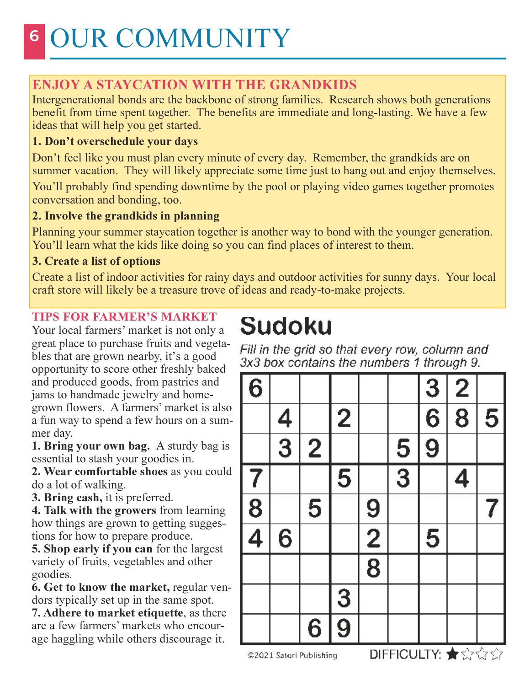#### ENJOY A STAYCATION WITH THE GRANDKIDS

Intergenerational bonds are the backbone of strong families. Research shows both generations benefit from time spent together. The benefits are immediate and long-lasting. We have a few ideas that will help you get started.

#### 1. Don't overschedule your days

Don't feel like you must plan every minute of every day. Remember, the grandkids are on summer vacation. They will likely appreciate some time just to hang out and enjoy themselves. You'll probably find spending downtime by the pool or playing video games together promotes conversation and bonding, too.

#### 2. Involve the grandkids in planning

Planning your summer staycation together is another way to bond with the younger generation. You'll learn what the kids like doing so you can find places of interest to them.

#### 3. Create a list of options

Create a list of indoor activities for rainy days and outdoor activities for sunny days. Your local craft store will likely be a treasure trove of ideas and ready-to-make projects.

#### TIPS FOR FARMER'S MARKET

Your local farmers' market is not only a great place to purchase fruits and vegetables that are grown nearby, it's a good opportunity to score other freshly baked and produced goods, from pastries and jams to handmade jewelry and homegrown flowers. A farmers' market is also a fun way to spend a few hours on a summer day.

1. Bring your own bag. A sturdy bag is essential to stash your goodies in.

2. Wear comfortable shoes as you could do a lot of walking.

3. Bring cash, it is preferred.

4. Talk with the growers from learning how things are grown to getting suggestions for how to prepare produce.

5. Shop early if you can for the largest variety of fruits, vegetables and other goodies.

6. Get to know the market, regular vendors typically set up in the same spot.

7. Adhere to market etiquette, as there are a few farmers' markets who encourage haggling while others discourage it.

## **Sudoku**

Fill in the grid so that every row, column and 3x3 box contains the numbers 1 through 9.

| $\overline{6}$ |               |   |                |                |                                 | $\overline{3}$ | $\overline{2}$ |   |
|----------------|---------------|---|----------------|----------------|---------------------------------|----------------|----------------|---|
|                |               |   | $\overline{2}$ |                |                                 | $\overline{6}$ | $\overline{8}$ | 5 |
|                | $\frac{4}{3}$ | 2 |                |                | 5                               | $\overline{9}$ |                |   |
| 7              |               |   | 5              |                | $\overline{3}$                  |                | 4              |   |
| $\frac{8}{4}$  |               | 5 |                | 9              |                                 |                |                |   |
|                | 6             |   |                | $\overline{2}$ |                                 | 5              |                |   |
|                |               |   |                | $\overline{8}$ |                                 |                |                |   |
|                |               |   | $\overline{3}$ |                |                                 |                |                |   |
|                |               | 6 | $\overline{9}$ |                | <b>DIEEIOLILTV, AL-A</b> -A-A-A |                |                |   |

@2021 Satori Publishing

**DIFFICULLY: T**ENNIN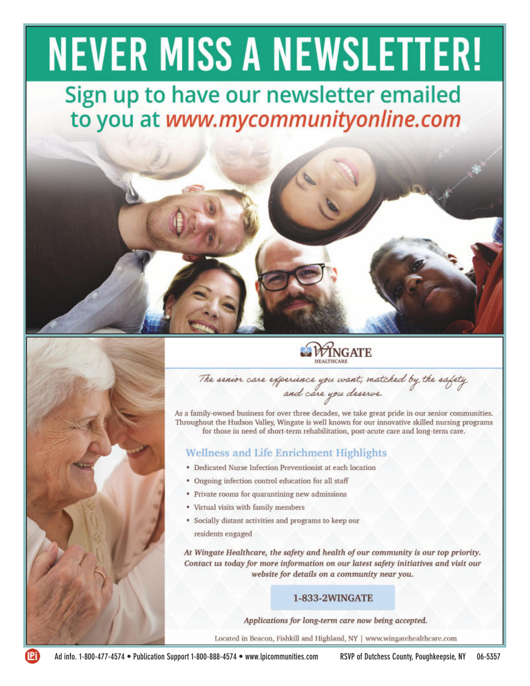### AD PAGES No content may be placed in these areas and these areas

Sign up to have our newsletter emailed Page 2 - Full page of ads





**WINGATE** 

The senior care experience you want, matched by the safety

As a family-owned business for over three decades, we take great pride in our senior communities. Throughout the Hudson Valley, Wingate is well known for our innovative skilled nursing programs for those in need of short-term rehabilitation, post-acute care and long-term care.

#### **Wellness and Life Enrichment Highlights**

- Dedicated Nurse Infection Preventionist at each location
- Ongoing infection control education for all staff
- Private rooms for quarantining new admissions
- Virtual visits with family members
- Socially distant activities and programs to keep our residents engaged

At Wingate Healthcare, the safety and health of our community is our top priority. Contact us today for more information on our latest safety initiatives and visit our website for details on a community near you.

#### 1-833-2WINGATE

Applications for long-term care now being accepted.

Located in Beacon, Fishkill and Highland, NY | www.wingatehealthcare.com